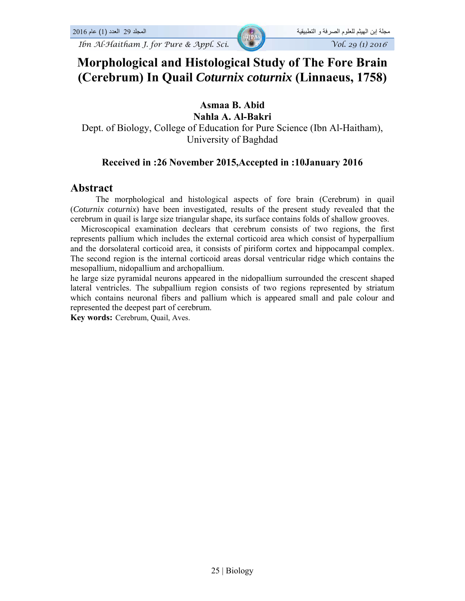*Ibn Al-Haitham J. for Pure & Appl. Sci.*  $\sqrt{0.29}$  *Vol. 29 (1) 2016* 

## **Morphological and Histological Study of The Fore Brain (Cerebrum) In Quail** *Coturnix coturnix* **(Linnaeus, 1758)**

## **Asmaa B. Abid**

**Nahla A. Al-Bakri** 

Dept. of Biology, College of Education for Pure Science (Ibn Al-Haitham), University of Baghdad

## **Received in :26 November 2015,Accepted in :10January 2016**

## **Abstract**

The morphological and histological aspects of fore brain (Cerebrum) in quail (*Coturnix coturnix*) have been investigated, results of the present study revealed that the cerebrum in quail is large size triangular shape, its surface contains folds of shallow grooves.

 Microscopical examination declears that cerebrum consists of two regions, the first represents pallium which includes the external corticoid area which consist of hyperpallium and the dorsolateral corticoid area, it consists of piriform cortex and hippocampal complex. The second region is the internal corticoid areas dorsal ventricular ridge which contains the mesopallium, nidopallium and archopallium.

he large size pyramidal neurons appeared in the nidopallium surrounded the crescent shaped lateral ventricles. The subpallium region consists of two regions represented by striatum which contains neuronal fibers and pallium which is appeared small and pale colour and represented the deepest part of cerebrum.

**Key words:** Cerebrum, Quail, Aves.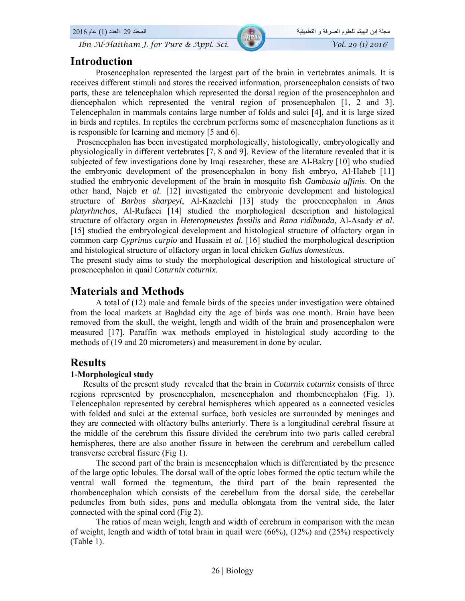# مجلة إبن الهيثم للعلوم الصرفة و التطبيقية المجلد 29 العدد (1) عام 2016

## **Introduction**

Prosencephalon represented the largest part of the brain in vertebrates animals. It is receives different stimuli and stores the received information, prorsencephalon consists of two parts, these are telencephalon which represented the dorsal region of the prosencephalon and diencephalon which represented the ventral region of prosencephalon [1, 2 and 3]. Telencephalon in mammals contains large number of folds and sulci [4], and it is large sized in birds and reptiles. In reptiles the cerebrum performs some of mesencephalon functions as it is responsible for learning and memory [5 and 6].

 Prosencephalon has been investigated morphologically, histologically, embryologically and physiologically in different vertebrates [7, 8 and 9]. Review of the literature revealed that it is subjected of few investigations done by Iraqi researcher, these are Al-Bakry [10] who studied the embryonic development of the prosencephalon in bony fish embryo, Al-Habeb [11] studied the embryonic development of the brain in mosquito fish *Gambusia affinis*. On the other hand, Najeb *et al.* [12] investigated the embryonic development and histological structure of *Barbus sharpeyi*, Al-Kazelchi [13] study the procencephalon in *Anas platyrhnchos*, Al-Rufaeei [14] studied the morphological description and histological structure of olfactory organ in *Heteropneustes fossilis* and *Rana ridibunda*, Al-Asady *et al*. [15] studied the embryological development and histological structure of olfactory organ in common carp *Cyprinus carpio* and Hussain *et al.* [16] studied the morphological description and histological structure of olfactory organ in local chicken *Gallus domesticus*.

The present study aims to study the morphological description and histological structure of prosencephalon in quail *Coturnix coturnix*.

## **Materials and Methods**

A total of (12) male and female birds of the species under investigation were obtained from the local markets at Baghdad city the age of birds was one month. Brain have been removed from the skull, the weight, length and width of the brain and prosencephalon were measured [17]. Paraffin wax methods employed in histological study according to the methods of (19 and 20 micrometers) and measurement in done by ocular.

## **Results**

#### **1-Morphological study**

 Results of the present study revealed that the brain in *Coturnix coturnix* consists of three regions represented by prosencephalon, mesencephalon and rhombencephalon (Fig. 1). Telencephalon represented by cerebral hemispheres which appeared as a connected vesicles with folded and sulci at the external surface, both vesicles are surrounded by meninges and they are connected with olfactory bulbs anteriorly. There is a longitudinal cerebral fissure at the middle of the cerebrum this fissure divided the cerebrum into two parts called cerebral hemispheres, there are also another fissure in between the cerebrum and cerebellum called transverse cerebral fissure (Fig 1).

 The second part of the brain is mesencephalon which is differentiated by the presence of the large optic lobules. The dorsal wall of the optic lobes formed the optic tectum while the ventral wall formed the tegmentum, the third part of the brain represented the rhombencephalon which consists of the cerebellum from the dorsal side, the cerebellar peduncles from both sides, pons and medulla oblongata from the ventral side, the later connected with the spinal cord (Fig 2).

 The ratios of mean weigh, length and width of cerebrum in comparison with the mean of weight, length and width of total brain in quail were  $(66\%)$ ,  $(12\%)$  and  $(25\%)$  respectively (Table 1).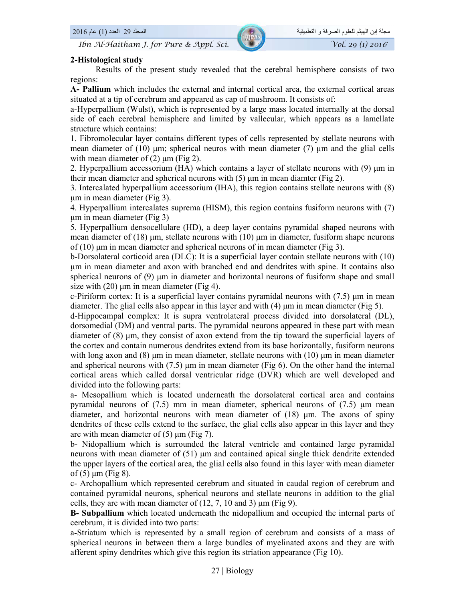## **2-Histological study**

Results of the present study revealed that the cerebral hemisphere consists of two regions:

**A- Pallium** which includes the external and internal cortical area, the external cortical areas situated at a tip of cerebrum and appeared as cap of mushroom. It consists of:

a-Hyperpallium (Wulst), which is represented by a large mass located internally at the dorsal side of each cerebral hemisphere and limited by vallecular, which appears as a lamellate structure which contains:

1. Fibromolecular layer contains different types of cells represented by stellate neurons with mean diameter of (10) μm; spherical neuros with mean diameter (7) μm and the glial cells with mean diameter of  $(2)$  μm (Fig 2).

2. Hyperpallium accessorium (HA) which contains a layer of stellate neurons with (9) μm in their mean diameter and spherical neurons with (5) μm in mean diamter (Fig 2).

3. Intercalated hyperpallium accessorium (IHA), this region contains stellate neurons with (8) μm in mean diameter (Fig 3).

4. Hyperpallium intercalates suprema (HISM), this region contains fusiform neurons with (7) μm in mean diameter (Fig 3)

5. Hyperpallium densocellulare (HD), a deep layer contains pyramidal shaped neurons with mean diameter of (18) μm, stellate neurons with (10) μm in diameter, fusiform shape neurons of (10) μm in mean diameter and spherical neurons of in mean diameter (Fig 3).

b-Dorsolateral corticoid area (DLC): It is a superficial layer contain stellate neurons with (10) μm in mean diameter and axon with branched end and dendrites with spine. It contains also spherical neurons of (9) μm in diameter and horizontal neurons of fusiform shape and small size with  $(20)$  µm in mean diameter (Fig 4).

c-Piriform cortex: It is a superficial layer contains pyramidal neurons with (7.5) μm in mean diameter. The glial cells also appear in this layer and with  $(4)$   $\mu$ m in mean diameter (Fig 5).

d-Hippocampal complex: It is supra ventrolateral process divided into dorsolateral (DL), dorsomedial (DM) and ventral parts. The pyramidal neurons appeared in these part with mean diameter of  $(8)$  µm, they consist of axon extend from the tip toward the superficial layers of the cortex and contain numerous dendrites extend from its base horizontally, fusiform neurons with long axon and  $(8)$  μm in mean diameter, stellate neurons with  $(10)$  μm in mean diameter and spherical neurons with (7.5) μm in mean diameter (Fig 6). On the other hand the internal cortical areas which called dorsal ventricular ridge (DVR) which are well developed and divided into the following parts:

a- Mesopallium which is located underneath the dorsolateral cortical area and contains pyramidal neurons of (7.5) mm in mean diameter, spherical neurons of (7.5) μm mean diameter, and horizontal neurons with mean diameter of (18) μm. The axons of spiny dendrites of these cells extend to the surface, the glial cells also appear in this layer and they are with mean diameter of (5) μm (Fig 7).

b- Nidopallium which is surrounded the lateral ventricle and contained large pyramidal neurons with mean diameter of (51) μm and contained apical single thick dendrite extended the upper layers of the cortical area, the glial cells also found in this layer with mean diameter of  $(5)$  µm (Fig 8).

c- Archopallium which represented cerebrum and situated in caudal region of cerebrum and contained pyramidal neurons, spherical neurons and stellate neurons in addition to the glial cells, they are with mean diameter of  $(12, 7, 10, \text{ and } 3)$  µm (Fig 9).

**B- Subpallium** which located underneath the nidopallium and occupied the internal parts of cerebrum, it is divided into two parts:

a-Striatum which is represented by a small region of cerebrum and consists of a mass of spherical neurons in between them a large bundles of myelinated axons and they are with afferent spiny dendrites which give this region its striation appearance (Fig 10).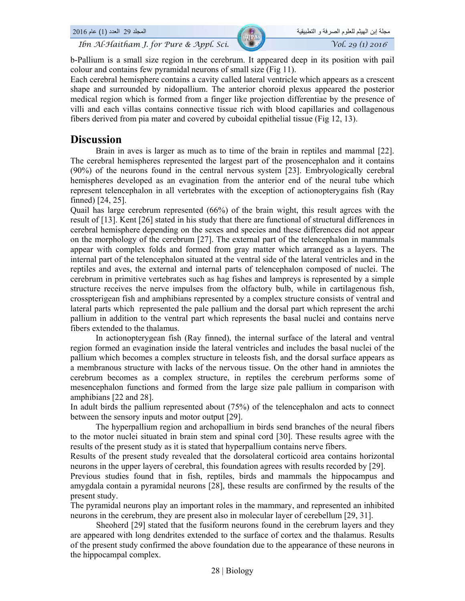b-Pallium is a small size region in the cerebrum. It appeared deep in its position with pail colour and contains few pyramidal neurons of small size (Fig 11).

Each cerebral hemisphere contains a cavity called lateral ventricle which appears as a crescent shape and surrounded by nidopallium. The anterior choroid plexus appeared the posterior medical region which is formed from a finger like projection differentiae by the presence of villi and each villas contains connective tissue rich with blood capillaries and collagenous fibers derived from pia mater and covered by cuboidal epithelial tissue (Fig 12, 13).

## **Discussion**

Brain in aves is larger as much as to time of the brain in reptiles and mammal [22]. The cerebral hemispheres represented the largest part of the prosencephalon and it contains (90%) of the neurons found in the central nervous system [23]. Embryologically cerebral hemispheres developed as an evagination from the anterior end of the neural tube which represent telencephalon in all vertebrates with the exception of actionopterygains fish (Ray finned) [24, 25].

Quail has large cerebrum represented (66%) of the brain wight, this result agrces with the result of [13]. Kent [26] stated in his study that there are functional of structural differences in cerebral hemisphere depending on the sexes and species and these differences did not appear on the morphology of the cerebrum [27]. The external part of the telencephalon in mammals appear with complex folds and formed from gray matter which arranged as a layers. The internal part of the telencephalon situated at the ventral side of the lateral ventricles and in the reptiles and aves, the external and internal parts of telencephalon composed of nuclei. The cerebrum in primitive vertebrates such as hag fishes and lampreys is represented by a simple structure receives the nerve impulses from the olfactory bulb, while in cartilagenous fish, crosspterigean fish and amphibians represented by a complex structure consists of ventral and lateral parts which represented the pale pallium and the dorsal part which represent the archi pallium in addition to the ventral part which represents the basal nuclei and contains nerve fibers extended to the thalamus.

In actionopterygean fish (Ray finned), the internal surface of the lateral and ventral region formed an evagination inside the lateral ventricles and includes the basal nuclei of the pallium which becomes a complex structure in teleosts fish, and the dorsal surface appears as a membranous structure with lacks of the nervous tissue. On the other hand in amniotes the cerebrum becomes as a complex structure, in reptiles the cerebrum performs some of mesencephalon functions and formed from the large size pale pallium in comparison with amphibians [22 and 28].

In adult birds the pallium represented about (75%) of the telencephalon and acts to connect between the sensory inputs and motor output [29].

The hyperpallium region and archopallium in birds send branches of the neural fibers to the motor nuclei situated in brain stem and spinal cord [30]. These results agree with the results of the present study as it is stated that hyperpallium contains nerve fibers.

Results of the present study revealed that the dorsolateral corticoid area contains horizontal neurons in the upper layers of cerebral, this foundation agrees with results recorded by [29].

Previous studies found that in fish, reptiles, birds and mammals the hippocampus and amygdala contain a pyramidal neurons [28], these results are confirmed by the results of the present study.

The pyramidal neurons play an important roles in the mammary, and represented an inhibited neurons in the cerebrum, they are present also in molecular layer of cerebellum [29, 31].

 Sheoherd [29] stated that the fusiform neurons found in the cerebrum layers and they are appeared with long dendrites extended to the surface of cortex and the thalamus. Results of the present study confirmed the above foundation due to the appearance of these neurons in the hippocampal complex.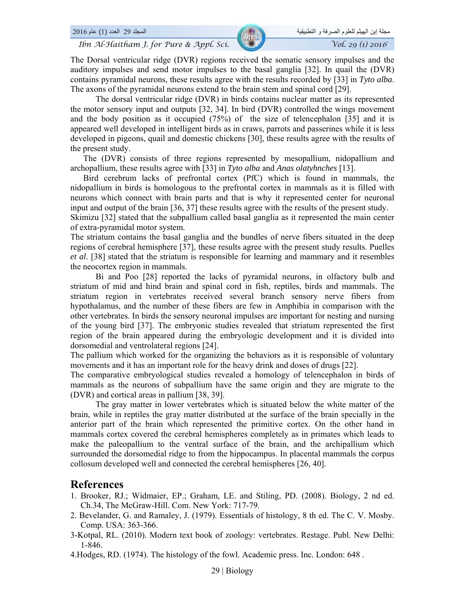The Dorsal ventricular ridge (DVR) regions received the somatic sensory impulses and the auditory impulses and send motor impulses to the basal ganglia [32]. In quail the (DVR) contains pyramidal neurons, these results agree with the results recorded by [33] in *Tyto alba*. The axons of the pyramidal neurons extend to the brain stem and spinal cord [29].

The dorsal ventricular ridge (DVR) in birds contains nuclear matter as its represented the motor sensory input and outputs [32, 34]. In bird (DVR) controlled the wings movement and the body position as it occupied (75%) of the size of telencephalon [35] and it is appeared well developed in intelligent birds as in craws, parrots and passerines while it is less developed in pigeons, quail and domestic chickens [30], these results agree with the results of the present study.

 The (DVR) consists of three regions represented by mesopallium, nidopallium and archopallium, these results agree with [33] in *Tyto alba* and *Anas olatyhnches* [13].

 Bird cerebrum lacks of prefrontal cortex (PfC) which is found in mammals, the nidopallium in birds is homologous to the prefrontal cortex in mammals as it is filled with neurons which connect with brain parts and that is why it represented center for neuronal input and output of the brain [36, 37] these results agree with the results of the present study. Skimizu [32] stated that the subpallium called basal ganglia as it represented the main center of extra-pyramidal motor system.

The striatum contains the basal ganglia and the bundles of nerve fibers situated in the deep regions of cerebral hemisphere [37], these results agree with the present study results. Puelles *et al*. [38] stated that the striatum is responsible for learning and mammary and it resembles the neocortex region in mammals.

Bi and Poo [28] reported the lacks of pyramidal neurons, in olfactory bulb and striatum of mid and hind brain and spinal cord in fish, reptiles, birds and mammals. The striatum region in vertebrates received several branch sensory nerve fibers from hypothalamus, and the number of these fibers are few in Amphibia in comparison with the other vertebrates. In birds the sensory neuronal impulses are important for nesting and nursing of the young bird [37]. The embryonic studies revealed that striatum represented the first region of the brain appeared during the embryologic development and it is divided into dorsomedial and ventrolateral regions [24].

The pallium which worked for the organizing the behaviors as it is responsible of voluntary movements and it has an important role for the heavy drink and doses of drugs [22].

The comparative embryological studies revealed a homology of telencephalon in birds of mammals as the neurons of subpallium have the same origin and they are migrate to the (DVR) and cortical areas in pallium [38, 39].

The gray matter in lower vertebrates which is situated below the white matter of the brain, while in reptiles the gray matter distributed at the surface of the brain specially in the anterior part of the brain which represented the primitive cortex. On the other hand in mammals cortex covered the cerebral hemispheres completely as in primates which leads to make the paleopallium to the ventral surface of the brain, and the archipallium which surrounded the dorsomedial ridge to from the hippocampus. In placental mammals the corpus collosum developed well and connected the cerebral hemispheres [26, 40].

#### **References**

- 1. Brooker, RJ.; Widmaier, EP.; Graham, LE. and Stiling, PD. (2008). Biology, 2 nd ed. Ch.34, The McGraw-Hill. Com. New York: 717-79.
- 2. Bevelander, G. and Ramaley, J. (1979). Essentials of histology, 8 th ed. The C. V. Mosby. Comp. USA: 363-366.
- 3-Kotpal, RL. (2010). Modern text book of zoology: vertebrates. Restage. Publ. New Delhi: 1-846.
- 4.Hodges, RD. (1974). The histology of the fowl. Academic press. Inc. London: 648 .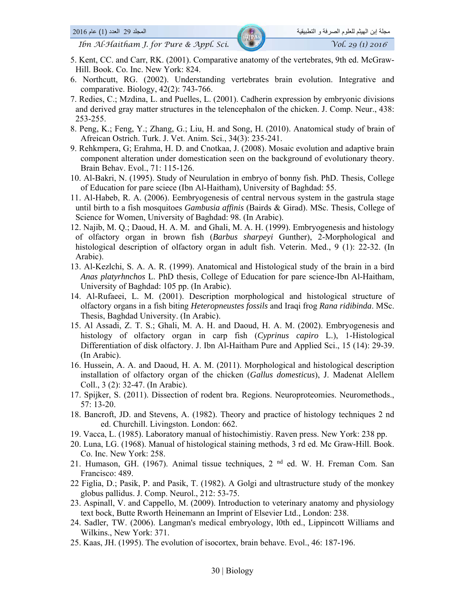- 5. Kent, CC. and Carr, RK. (2001). Comparative anatomy of the vertebrates, 9th ed. McGraw-Hill. Book. Co. Inc. New York: 824.
- 6. Northcutt, RG. (2002). Understanding vertebrates brain evolution. Integrative and comparative. Biology, 42(2): 743-766.
- 7. Redies, C.; Mzdina, L. and Puelles, L. (2001). Cadherin expression by embryonic divisions and derived gray matter structures in the telencephalon of the chicken. J. Comp. Neur., 438: 253-255.
- 8. Peng, K.; Feng, Y.; Zhang, G.; Liu, H. and Song, H. (2010). Anatomical study of brain of Afreican Ostrich. Turk. J. Vet. Anim. Sci., 34(3): 235-241.
- 9. Rehkmpera, G; Erahma, H. D. and Cnotkaa, J. (2008). Mosaic evolution and adaptive brain component alteration under domestication seen on the background of evolutionary theory. Brain Behav. Evol., 71: 115-126.
- 10. Al-Bakri, N. (1995). Study of Neurulation in embryo of bonny fish. PhD. Thesis, College of Education for pare sciece (Ibn Al-Haitham), University of Baghdad: 55.
- 11. Al-Habeb, R. A. (2006). Eembryogenesis of central nervous system in the gastrula stage until birth to a fish mosquitoes *Gambusia affinis* (Bairds & Girad). MSc. Thesis, College of Science for Women, University of Baghdad: 98. (In Arabic).
- 12. Najib, M. Q.; Daoud, H. A. M. and Ghali, M. A. H. (1999). Embryogenesis and histology of olfactory organ in brown fish (*Barbus sharpeyi* Gunther), 2-Morphological and histological description of olfactory organ in adult fish. Veterin. Med., 9 (1): 22-32. (In Arabic).
- 13. Al-Kezlchi, S. A. A. R. (1999). Anatomical and Histological study of the brain in a bird *Anas platyrhnchos* L. PhD thesis, College of Education for pare science-Ibn Al-Haitham, University of Baghdad: 105 pp. (In Arabic).
- 14. Al-Rufaeei, L. M. (2001). Description morphological and histological structure of olfactory organs in a fish biting *Heteropneustes fossils* and Iraqi frog *Rana ridibinda*. MSc. Thesis, Baghdad University. (In Arabic).
- 15. Al Assadi, Z. T. S.; Ghali, M. A. H. and Daoud, H. A. M. (2002). Embryogenesis and histology of olfactory organ in carp fish (*Cyprinus capiro* L.), 1-Histological Differentiation of disk olfactory. J. Ibn Al-Haitham Pure and Applied Sci., 15 (14): 29-39. (In Arabic).
- 16. Hussein, A. A. and Daoud, H. A. M. (2011). Morphological and histological description installation of olfactory organ of the chicken (*Gallus domesticus*), J. Madenat Alellem Coll., 3 (2): 32-47. (In Arabic).
- 17. Spijker, S. (2011). Dissection of rodent bra. Regions. Neuroproteomies. Neuromethods., 57: 13-20.
- 18. Bancroft, JD. and Stevens, A. (1982). Theory and practice of histology techniques 2 nd ed. Churchill. Livingston. London: 662.
- 19. Vacca, L. (1985). Laboratory manual of histochimistiy. Raven press. New York: 238 pp.
- 20. Luna, LG. (1968). Manual of histological staining methods, 3 rd ed. Mc Graw-Hill. Book. Co. Inc. New York: 258.
- 21. Humason, GH. (1967). Animal tissue techniques, 2<sup>nd</sup> ed. W. H. Freman Com. San Francisco: 489.
- 22 Figlia, D.; Pasik, P. and Pasik, T. (1982). A Golgi and ultrastructure study of the monkey globus pallidus. J. Comp. Neurol., 212: 53-75.
- 23. Aspinall, V. and Cappello, M. (2009). Introduction to veterinary anatomy and physiology text bock, Butte Rworth Heinemann an Imprint of Elsevier Ltd., London: 238.
- 24. Sadler, TW. (2006). Langman's medical embryology, l0th ed., Lippincott Williams and Wilkins., New York: 371.
- 25. Kaas, JH. (1995). The evolution of isocortex, brain behave. Evol., 46: 187-196.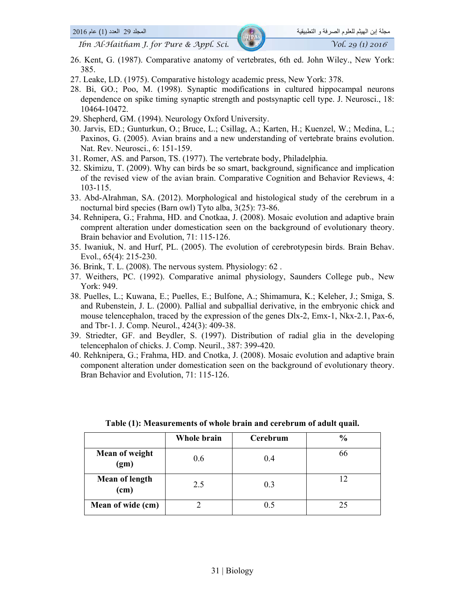- 26. Kent, G. (1987). Comparative anatomy of vertebrates, 6th ed. John Wiley., New York: 385.
- 27. Leake, LD. (1975). Comparative histology academic press, New York: 378.
- 28. Bi, GO.; Poo, M. (1998). Synaptic modifications in cultured hippocampal neurons dependence on spike timing synaptic strength and postsynaptic cell type. J. Neurosci., 18: 10464-10472.
- 29. Shepherd, GM. (1994). Neurology Oxford University.
- 30. Jarvis, ED.; Gunturkun, O.; Bruce, L.; Csillag, A.; Karten, H.; Kuenzel, W.; Medina, L.; Paxinos, G. (2005). Avian brains and a new understanding of vertebrate brains evolution. Nat. Rev. Neurosci., 6: 151-159.
- 31. Romer, AS. and Parson, TS. (1977). The vertebrate body, Philadelphia.
- 32. Skimizu, T. (2009). Why can birds be so smart, background, significance and implication of the revised view of the avian brain. Comparative Cognition and Behavior Reviews, 4: 103-115.
- 33. Abd-Alrahman, SA. (2012). Morphological and histological study of the cerebrum in a nocturnal bird species (Barn owl) Tyto alba, 3(25): 73-86.
- 34. Rehnipera, G.; Frahma, HD. and Cnotkaa, J. (2008). Mosaic evolution and adaptive brain comprent alteration under domestication seen on the background of evolutionary theory. Brain behavior and Evolution, 71: 115-126.
- 35. Iwaniuk, N. and Hurf, PL. (2005). The evolution of cerebrotypesin birds. Brain Behav. Evol., 65(4): 215-230.
- 36. Brink, T. L. (2008). The nervous system. Physiology: 62 .
- 37. Weithers, PC. (1992). Comparative animal physiology, Saunders College pub., New York: 949.
- 38. Puelles, L.; Kuwana, E.; Puelles, E.; Bulfone, A.; Shimamura, K.; Keleher, J.; Smiga, S. and Rubenstein, J. L. (2000). Pallial and subpallial derivative, in the embryonic chick and mouse telencephalon, traced by the expression of the genes Dlx-2, Emx-1, Nkx-2.1, Pax-6, and Tbr-1. J. Comp. Neurol., 424(3): 409-38.
- 39. Striedter, GF. and Beydler, S. (1997). Distribution of radial glia in the developing telencephalon of chicks. J. Comp. Neuril., 387: 399-420.
- 40. Rehknipera, G.; Frahma, HD. and Cnotka, J. (2008). Mosaic evolution and adaptive brain component alteration under domestication seen on the background of evolutionary theory. Bran Behavior and Evolution, 71: 115-126.

|                        | Whole brain | Cerebrum | $\frac{0}{0}$ |
|------------------------|-------------|----------|---------------|
| Mean of weight<br>(gm) | 0.6         | 0.4      | 66            |
| Mean of length<br>(cm) | 2.5         | 0.3      |               |
| Mean of wide (cm)      |             | 0.5      |               |

| Table (1): Measurements of whole brain and cerebrum of adult quail. |
|---------------------------------------------------------------------|
|---------------------------------------------------------------------|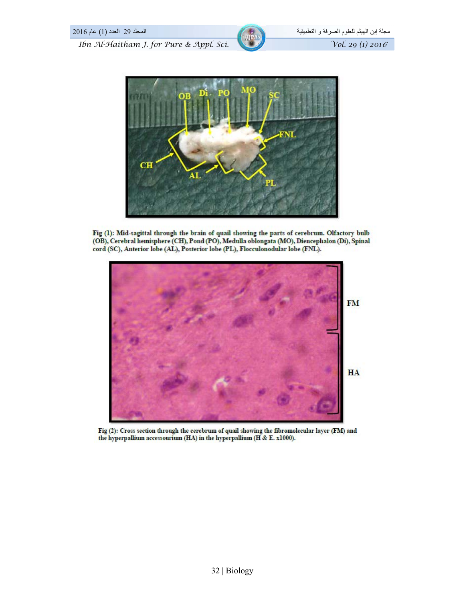



Fig (1): Mid-sagittal through the brain of quail showing the parts of cerebrum. Olfactory bulb (OB), Cerebral hemisphere (CH), Pond (PO), Medulla oblongata (MO), Diencephalon (Di), Spinal cord (SC), Anterior lobe (AL), Posterior lobe (PL), Flocculonodular lobe (FNL).



Fig (2): Cross section through the cerebrum of quail showing the fibromolecular layer (FM) and the hyperpallium accessourium (HA) in the hyperpallium (H & E. x1000).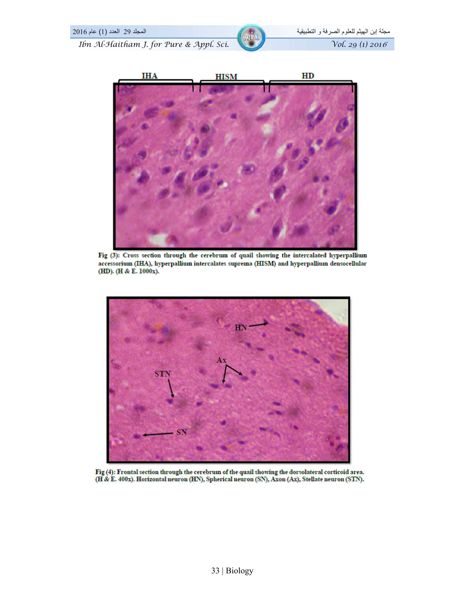

Fig (3): Cross section through the cerebrum of quail showing the intercalated hyperpallium accessorium (IHA), hyperpallium intercalates suprema (HISM) and hyperpallium densocellular (HD). (H & E. 1000x).



Fig (4): Frontal section through the cerebrum of the quail showing the dorsolateral corticoid area. (H & E. 400x). Horizontal neuron (HN), Spherical neuron (SN), Axon (Ax), Stellate neuron (STN).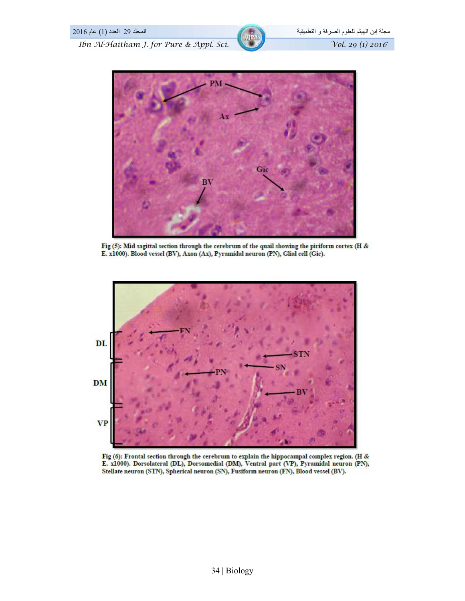

Fig (5): Mid sagittal section through the cerebrum of the quail showing the piriform cortex (H & E. x1000). Blood vessel (BV), Axon (Ax), Pyramidal neuron (PN), Glial cell (Gic).



Fig (6): Frontal section through the cerebrum to explain the hippocampal complex region. (H & E. x1000). Dorsolateral (DL), Dorsomedial (DM), Ventral part (VP), Pyramidal neuron (PN), Stellate neuron (STN), Spherical neuron (SN), Fusiform neuron (FN), Blood vessel (BV).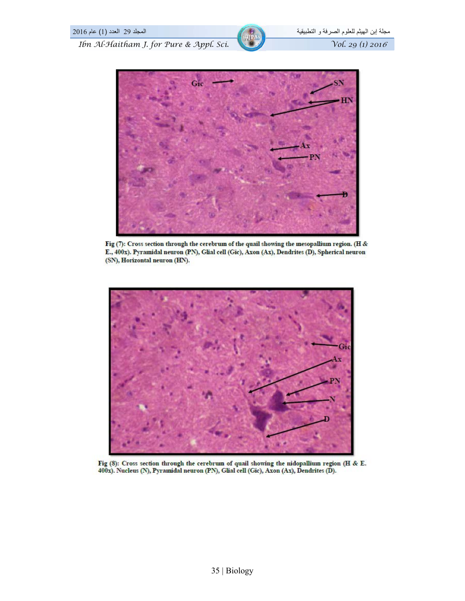

Fig (7): Cross section through the cerebrum of the quail showing the mesopallium region. (H & E., 400x). Pyramidal neuron (PN), Glial cell (Gic), Axon (Ax), Dendrites (D), Spherical neuron (SN), Horizontal neuron (HN).



Fig (8): Cross section through the cerebrum of quail showing the nidopallium region (H & E. 400x). Nucleus (N), Pyramidal neuron (PN), Glial cell (Gic), Axon (Ax), Dendrites (D).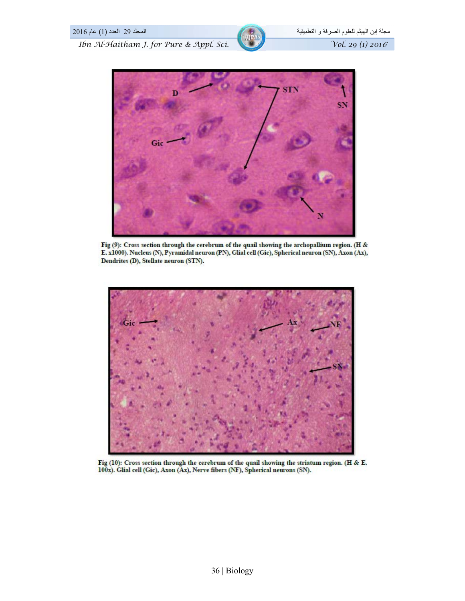

Fig (9): Cross section through the cerebrum of the quail showing the archopallium region. (H & E. x1000). Nucleus (N), Pyramidal neuron (PN), Glial cell (Gic), Spherical neuron (SN), Axon (Ax), Dendrites (D), Stellate neuron (STN).



Fig (10): Cross section through the cerebrum of the quail showing the striatum region. (H & E. 100x). Glial cell (Gic), Axon (Ax), Nerve fibers (NF), Spherical neurons (SN).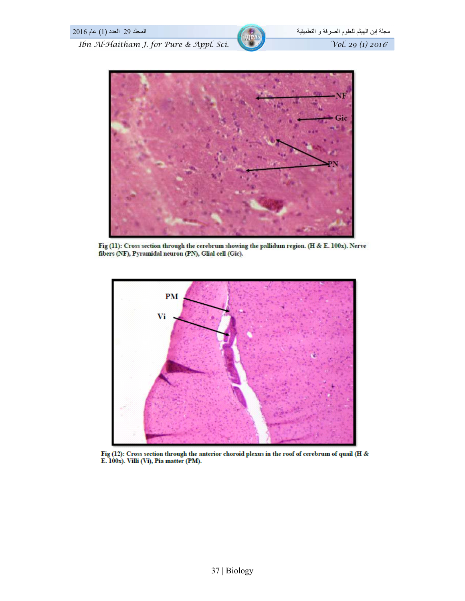

Fig (11): Cross section through the cerebrum showing the pallidum region. (H & E. 100x). Nerve fibers (NF), Pyramidal neuron (PN), Glial cell (Gic).



Fig (12): Cross section through the anterior choroid plexus in the roof of cerebrum of quail (H & E. 100x). Villi (Vi), Pia matter (PM).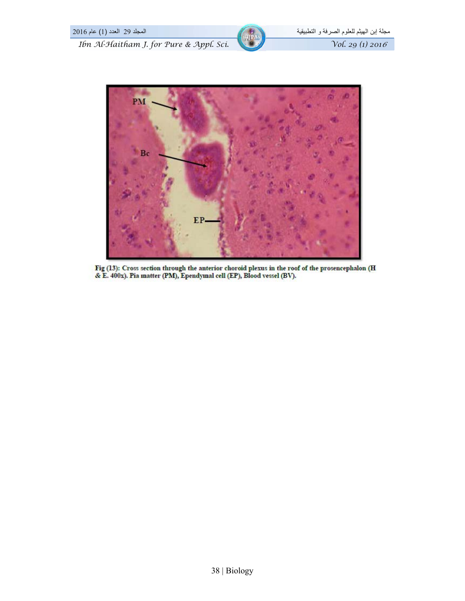



Fig (13): Cross section through the anterior choroid plexus in the roof of the prosencephalon (H & E. 400x). Pia matter (PM), Ependymal cell (EP), Blood vessel (BV).